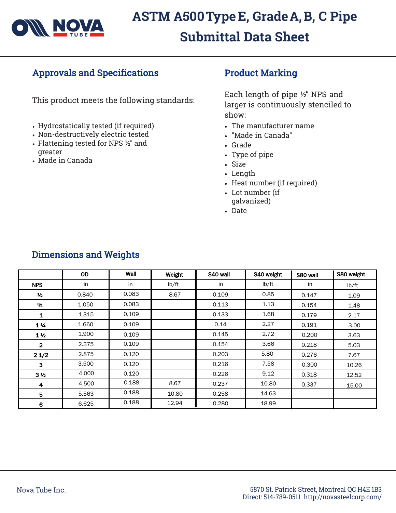

## Approvals and Specifications

This product meets the following standards:

- Hydrostatically tested (if required)
- Non-destructively electric tested
- Flattening tested for NPS ½" and greater
- Made in Canada

## Product Marking

Each length of pipe ½" NPS and larger is continuously stenciled to show:

- The manufacturer name
- "Made in Canada"
- Grade
- Type of pipe
- Size
- Length
- Heat number (if required)
- Lot number (if galvanized)
- Date

|                | <b>OD</b> | Wall  | Weight | S40 wall | S40 weight | S80 wall | S80 weight |
|----------------|-----------|-------|--------|----------|------------|----------|------------|
| <b>NPS</b>     | in        | in    | lb/ft  | in       | lb/ft      | in       | lb/ft      |
| $\frac{1}{2}$  | 0.840     | 0.083 | 8.67   | 0.109    | 0.85       | 0.147    | 1.09       |
| $\frac{3}{4}$  | 1.050     | 0.083 |        | 0.113    | 1.13       | 0.154    | 1.48       |
| 1              | 1.315     | 0.109 |        | 0.133    | 1.68       | 0.179    | 2.17       |
| $1\frac{1}{4}$ | 1.660     | 0.109 |        | 0.14     | 2.27       | 0.191    | 3.00       |
| $1\frac{1}{2}$ | 1.900     | 0.109 |        | 0.145    | 2.72       | 0.200    | 3.63       |
| $\overline{2}$ | 2.375     | 0.109 |        | 0.154    | 3.66       | 0.218    | 5.03       |
| 21/2           | 2.875     | 0.120 |        | 0.203    | 5.80       | 0.276    | 7.67       |
| 3              | 3.500     | 0.120 |        | 0.216    | 7.58       | 0.300    | 10.26      |
| 3 <sub>2</sub> | 4.000     | 0.120 |        | 0.226    | 9.12       | 0.318    | 12.52      |
| 4              | 4.500     | 0.188 | 8.67   | 0.237    | 10.80      | 0.337    | 15.00      |
| 5              | 5.563     | 0.188 | 10.80  | 0.258    | 14.63      |          |            |
| 6              | 6.625     | 0.188 | 12.94  | 0.280    | 18.99      |          |            |

## Dimensions and Weights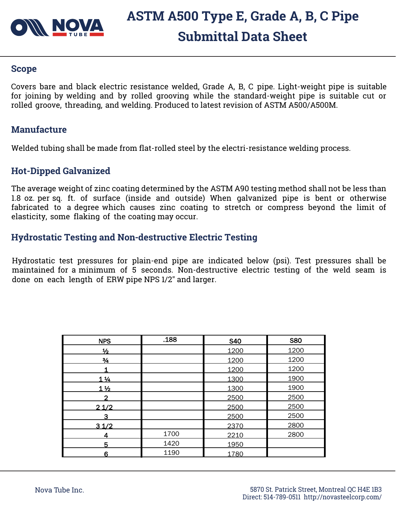

# **ASTM A500 Type E, Grade A, B, C Pipe Submittal Data Sheet**

#### **Scope**

Covers bare and black electric resistance welded, Grade A, B, C pipe. Light-weight pipe is suitable for joining by welding and by rolled grooving while the standard-weight pipe is suitable cut or rolled groove, threading, and welding. Produced to latest revision of ASTM A500/A500M.

#### **Manufacture**

Welded tubing shall be made from flat-rolled steel by the electri-resistance welding process.

#### **Hot-Dipped Galvanized**

The average weight of zinc coating determined by the ASTM A90 testing method shall not be less than 1.8 oz. per sq. ft. of surface (inside and outside) When galvanized pipe is bent or otherwise fabricated to a degree which causes zinc coating to stretch or compress beyond the limit of elasticity, some flaking of the coating may occur.

#### **Hydrostatic Testing and Non-destructive Electric Testing**

Hydrostatic test pressures for plain-end pipe are indicated below (psi). Test pressures shall be maintained for a minimum of 5 seconds. Non-destructive electric testing of the weld seam is done on each length of ERW pipe NPS 1/2" and larger.

| <b>NPS</b>     | .188 | <b>S40</b> | <b>S80</b> |
|----------------|------|------------|------------|
| $\frac{1}{2}$  |      | 1200       | 1200       |
| $\frac{3}{4}$  |      | 1200       | 1200       |
|                |      | 1200       | 1200       |
| $1\frac{1}{4}$ |      | 1300       | 1900       |
| 1 <sub>2</sub> |      | 1300       | 1900       |
| 2              |      | 2500       | 2500       |
| 21/2           |      | 2500       | 2500       |
| 3              |      | 2500       | 2500       |
| 31/2           |      | 2370       | 2800       |
| 4              | 1700 | 2210       | 2800       |
| 5              | 1420 | 1950       |            |
| 6              | 1190 | 1780       |            |